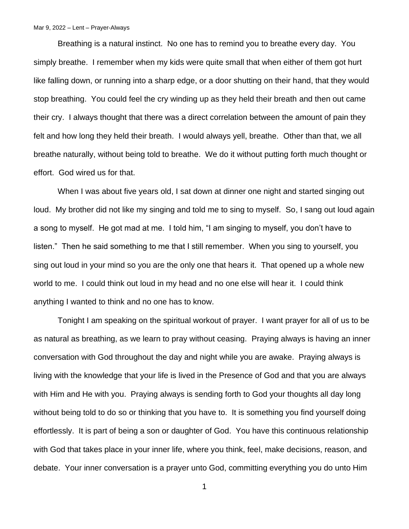## Mar 9, 2022 – Lent – Prayer-Always

Breathing is a natural instinct. No one has to remind you to breathe every day. You simply breathe. I remember when my kids were quite small that when either of them got hurt like falling down, or running into a sharp edge, or a door shutting on their hand, that they would stop breathing. You could feel the cry winding up as they held their breath and then out came their cry. I always thought that there was a direct correlation between the amount of pain they felt and how long they held their breath. I would always yell, breathe. Other than that, we all breathe naturally, without being told to breathe. We do it without putting forth much thought or effort. God wired us for that.

When I was about five years old, I sat down at dinner one night and started singing out loud. My brother did not like my singing and told me to sing to myself. So, I sang out loud again a song to myself. He got mad at me. I told him, "I am singing to myself, you don't have to listen." Then he said something to me that I still remember. When you sing to yourself, you sing out loud in your mind so you are the only one that hears it. That opened up a whole new world to me. I could think out loud in my head and no one else will hear it. I could think anything I wanted to think and no one has to know.

Tonight I am speaking on the spiritual workout of prayer. I want prayer for all of us to be as natural as breathing, as we learn to pray without ceasing. Praying always is having an inner conversation with God throughout the day and night while you are awake. Praying always is living with the knowledge that your life is lived in the Presence of God and that you are always with Him and He with you. Praying always is sending forth to God your thoughts all day long without being told to do so or thinking that you have to. It is something you find yourself doing effortlessly. It is part of being a son or daughter of God. You have this continuous relationship with God that takes place in your inner life, where you think, feel, make decisions, reason, and debate. Your inner conversation is a prayer unto God, committing everything you do unto Him

1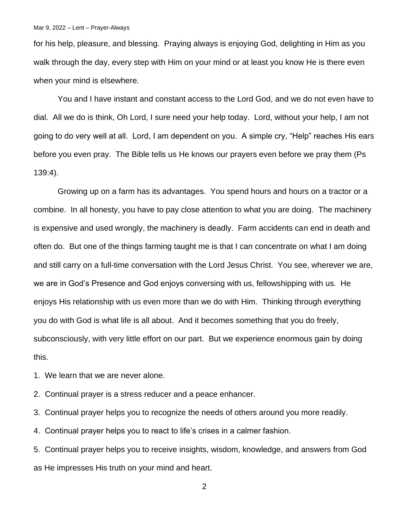for his help, pleasure, and blessing. Praying always is enjoying God, delighting in Him as you walk through the day, every step with Him on your mind or at least you know He is there even when your mind is elsewhere.

You and I have instant and constant access to the Lord God, and we do not even have to dial. All we do is think, Oh Lord, I sure need your help today. Lord, without your help, I am not going to do very well at all. Lord, I am dependent on you. A simple cry, "Help" reaches His ears before you even pray. The Bible tells us He knows our prayers even before we pray them (Ps 139:4).

Growing up on a farm has its advantages. You spend hours and hours on a tractor or a combine. In all honesty, you have to pay close attention to what you are doing. The machinery is expensive and used wrongly, the machinery is deadly. Farm accidents can end in death and often do. But one of the things farming taught me is that I can concentrate on what I am doing and still carry on a full-time conversation with the Lord Jesus Christ. You see, wherever we are, we are in God's Presence and God enjoys conversing with us, fellowshipping with us. He enjoys His relationship with us even more than we do with Him. Thinking through everything you do with God is what life is all about. And it becomes something that you do freely, subconsciously, with very little effort on our part. But we experience enormous gain by doing this.

1. We learn that we are never alone.

2. Continual prayer is a stress reducer and a peace enhancer.

3. Continual prayer helps you to recognize the needs of others around you more readily.

4. Continual prayer helps you to react to life's crises in a calmer fashion.

5. Continual prayer helps you to receive insights, wisdom, knowledge, and answers from God as He impresses His truth on your mind and heart.

2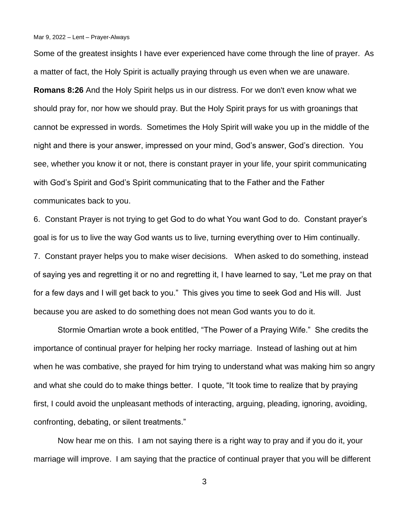Mar 9, 2022 – Lent – Prayer-Always

Some of the greatest insights I have ever experienced have come through the line of prayer. As a matter of fact, the Holy Spirit is actually praying through us even when we are unaware. **Romans 8:26** And the Holy Spirit helps us in our distress. For we don't even know what we

should pray for, nor how we should pray. But the Holy Spirit prays for us with groanings that cannot be expressed in words. Sometimes the Holy Spirit will wake you up in the middle of the night and there is your answer, impressed on your mind, God's answer, God's direction. You see, whether you know it or not, there is constant prayer in your life, your spirit communicating with God's Spirit and God's Spirit communicating that to the Father and the Father communicates back to you.

6. Constant Prayer is not trying to get God to do what You want God to do. Constant prayer's goal is for us to live the way God wants us to live, turning everything over to Him continually. 7. Constant prayer helps you to make wiser decisions. When asked to do something, instead of saying yes and regretting it or no and regretting it, I have learned to say, "Let me pray on that for a few days and I will get back to you." This gives you time to seek God and His will. Just because you are asked to do something does not mean God wants you to do it.

Stormie Omartian wrote a book entitled, "The Power of a Praying Wife." She credits the importance of continual prayer for helping her rocky marriage. Instead of lashing out at him when he was combative, she prayed for him trying to understand what was making him so angry and what she could do to make things better. I quote, "It took time to realize that by praying first, I could avoid the unpleasant methods of interacting, arguing, pleading, ignoring, avoiding, confronting, debating, or silent treatments."

Now hear me on this. I am not saying there is a right way to pray and if you do it, your marriage will improve. I am saying that the practice of continual prayer that you will be different

3